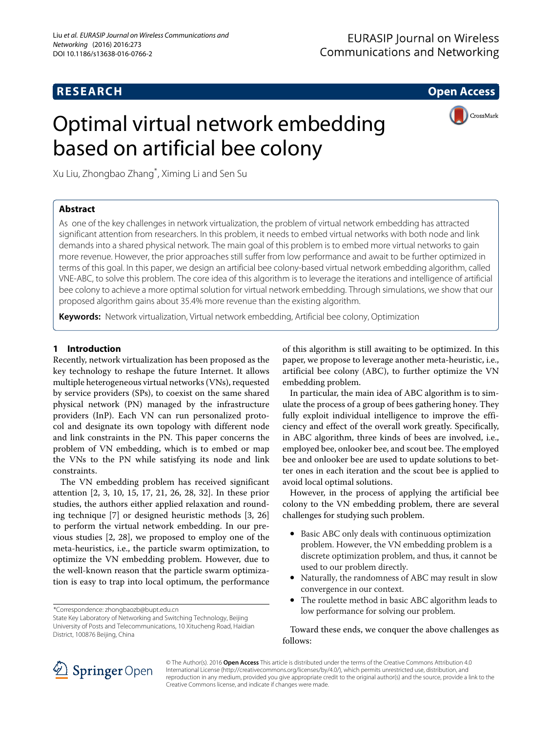# **RESEARCH Open Access**

# Optimal virtual network embedding based on artificial bee colony



Xu Liu, Zhongbao Zhang\* , Ximing Li and Sen Su

## **Abstract**

As one of the key challenges in network virtualization, the problem of virtual network embedding has attracted significant attention from researchers. In this problem, it needs to embed virtual networks with both node and link demands into a shared physical network. The main goal of this problem is to embed more virtual networks to gain more revenue. However, the prior approaches still suffer from low performance and await to be further optimized in terms of this goal. In this paper, we design an artificial bee colony-based virtual network embedding algorithm, called VNE-ABC, to solve this problem. The core idea of this algorithm is to leverage the iterations and intelligence of artificial bee colony to achieve a more optimal solution for virtual network embedding. Through simulations, we show that our proposed algorithm gains about 35.4% more revenue than the existing algorithm.

**Keywords:** Network virtualization, Virtual network embedding, Artificial bee colony, Optimization

### **1 Introduction**

Recently, network virtualization has been proposed as the key technology to reshape the future Internet. It allows multiple heterogeneous virtual networks (VNs), requested by service providers (SPs), to coexist on the same shared physical network (PN) managed by the infrastructure providers (InP). Each VN can run personalized protocol and designate its own topology with different node and link constraints in the PN. This paper concerns the problem of VN embedding, which is to embed or map the VNs to the PN while satisfying its node and link constraints.

The VN embedding problem has received significant attention [\[2,](#page-7-0) [3,](#page-7-1) [10,](#page-7-2) [15,](#page-8-0) [17,](#page-8-1) [21,](#page-8-2) [26,](#page-8-3) [28,](#page-8-4) [32\]](#page-8-5). In these prior studies, the authors either applied relaxation and rounding technique [\[7\]](#page-7-3) or designed heuristic methods [\[3,](#page-7-1) [26\]](#page-8-3) to perform the virtual network embedding. In our previous studies [\[2,](#page-7-0) [28\]](#page-8-4), we proposed to employ one of the meta-heuristics, i.e., the particle swarm optimization, to optimize the VN embedding problem. However, due to the well-known reason that the particle swarm optimization is easy to trap into local optimum, the performance

\*Correspondence: [zhongbaozb@bupt.edu.cn](mailto: zhongbaozb@bupt.edu.cn)

of this algorithm is still awaiting to be optimized. In this paper, we propose to leverage another meta-heuristic, i.e., artificial bee colony (ABC), to further optimize the VN embedding problem.

In particular, the main idea of ABC algorithm is to simulate the process of a group of bees gathering honey. They fully exploit individual intelligence to improve the efficiency and effect of the overall work greatly. Specifically, in ABC algorithm, three kinds of bees are involved, i.e., employed bee, onlooker bee, and scout bee. The employed bee and onlooker bee are used to update solutions to better ones in each iteration and the scout bee is applied to avoid local optimal solutions.

However, in the process of applying the artificial bee colony to the VN embedding problem, there are several challenges for studying such problem.

- Basic ABC only deals with continuous optimization problem. However, the VN embedding problem is a discrete optimization problem, and thus, it cannot be used to our problem directly.
- Naturally, the randomness of ABC may result in slow convergence in our context.
- The roulette method in basic ABC algorithm leads to low performance for solving our problem.

Toward these ends, we conquer the above challenges as follows:



© The Author(s). 2016 **Open Access** This article is distributed under the terms of the Creative Commons Attribution 4.0 International License [\(http://creativecommons.org/licenses/by/4.0/\)](http://creativecommons.org/licenses/by/4.0/), which permits unrestricted use, distribution, and reproduction in any medium, provided you give appropriate credit to the original author(s) and the source, provide a link to the Creative Commons license, and indicate if changes were made.

State Key Laboratory of Networking and Switching Technology, Beijing University of Posts and Telecommunications, 10 Xitucheng Road, Haidian District, 100876 Beijing, China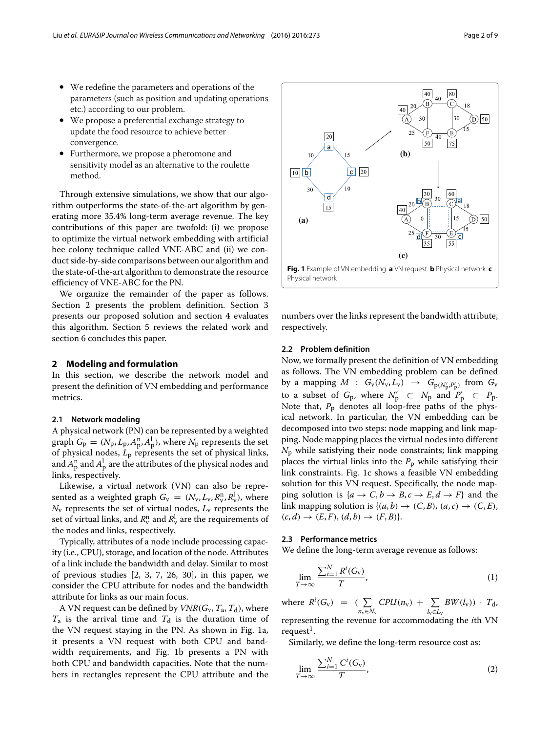- We redefine the parameters and operations of the parameters (such as position and updating operations etc.) according to our problem.
- We propose a preferential exchange strategy to update the food resource to achieve better convergence.
- Furthermore, we propose a pheromone and sensitivity model as an alternative to the roulette method.

Through extensive simulations, we show that our algorithm outperforms the state-of-the-art algorithm by generating more 35.4% long-term average revenue. The key contributions of this paper are twofold: (i) we propose to optimize the virtual network embedding with artificial bee colony technique called VNE-ABC and (ii) we conduct side-by-side comparisons between our algorithm and the state-of-the-art algorithm to demonstrate the resource efficiency of VNE-ABC for the PN.

We organize the remainder of the paper as follows. Section [2](#page-1-0) presents the problem definition. Section [3](#page-2-0) presents our proposed solution and section [4](#page-4-0) evaluates this algorithm. Section [5](#page-4-1) reviews the related work and section [6](#page-7-4) concludes this paper.

#### <span id="page-1-0"></span>**2 Modeling and formulation**

In this section, we describe the network model and present the definition of VN embedding and performance metrics.

#### **2.1 Network modeling**

A physical network (PN) can be represented by a weighted graph  $G_p = (N_p, L_p, A_p^n, A_p^l)$ , where  $N_p$  represents the set of physical nodes, *L*<sup>p</sup> represents the set of physical links, and  $A_{\rm p}^{\rm n}$  and  $A_{\rm p}^{\rm l}$  are the attributes of the physical nodes and links, respectively.

Likewise, a virtual network (VN) can also be represented as a weighted graph  $G_v = (N_v, L_v, R_v^n, R_v^l)$ , where *N*<sup>v</sup> represents the set of virtual nodes, *L*<sup>v</sup> represents the set of virtual links, and  $R_{\rm v}^{\rm n}$  and  $R_{\rm v}^{\rm l}$  are the requirements of the nodes and links, respectively.

Typically, attributes of a node include processing capacity (i.e., CPU), storage, and location of the node. Attributes of a link include the bandwidth and delay. Similar to most of previous studies [\[2,](#page-7-0) [3,](#page-7-1) [7,](#page-7-3) [26,](#page-8-3) [30\]](#page-8-6), in this paper, we consider the CPU attribute for nodes and the bandwidth attribute for links as our main focus.

A VN request can be defined by *VNR*(*G*v, *T*a, *T*d), where  $T_a$  is the arrival time and  $T_d$  is the duration time of the VN request staying in the PN. As shown in Fig. [1](#page-1-1)[a,](#page-1-2) it presents a VN request with both CPU and bandwidth requirements, and Fig. [1](#page-1-1)[b](#page-1-2) presents a PN with both CPU and bandwidth capacities. Note that the numbers in rectangles represent the CPU attribute and the



<span id="page-1-2"></span><span id="page-1-1"></span>numbers over the links represent the bandwidth attribute, respectively.

#### **2.2 Problem definition**

Now, we formally present the definition of VN embedding as follows. The VN embedding problem can be defined by a mapping  $M$  :  $G_v(N_v, L_v)$   $\rightarrow$   $G_{p(N'_p, P'_p)}$  from  $G_v$ to a subset of  $G_p$ , where  $N'_p \subset N_p$  and  $P'_p \subset P_p$ . Note that,  $P_p$  denotes all loop-free paths of the physical network. In particular, the VN embedding can be decomposed into two steps: node mapping and link mapping. Node mapping places the virtual nodes into different *N*<sup>p</sup> while satisfying their node constraints; link mapping places the virtual links into the  $P<sub>p</sub>$  while satisfying their link constraints. Fig. [1](#page-1-1)[c](#page-1-2) shows a feasible VN embedding solution for this VN request. Specifically, the node mapping solution is  $\{a \rightarrow C, b \rightarrow B, c \rightarrow E, d \rightarrow F\}$  and the link mapping solution is  $\{(a, b) \rightarrow (C, B), (a, c) \rightarrow (C, E),\}$  $(c, d) \rightarrow (E, F), (d, b) \rightarrow (F, B).$ 

#### **2.3 Performance metrics**

We define the long-term average revenue as follows:

$$
\lim_{T \to \infty} \frac{\sum_{i=1}^{N} R^i(G_v)}{T},\tag{1}
$$

where  $R^i(G_v) = (\sum_{v \in V}$  $\sum_{n_v \in N_v} CPU(n_v) + \sum_{l_v \in L_v}$ *l*v∈*L*<sup>v</sup>  $BW(l_v)$  ·  $T_d$ , representing the revenue for accommodating the *i*th VN  $request<sup>1</sup>$ .

Similarly, we define the long-term resource cost as:

$$
\lim_{T \to \infty} \frac{\sum_{i=1}^{N} C^i(G_v)}{T},\tag{2}
$$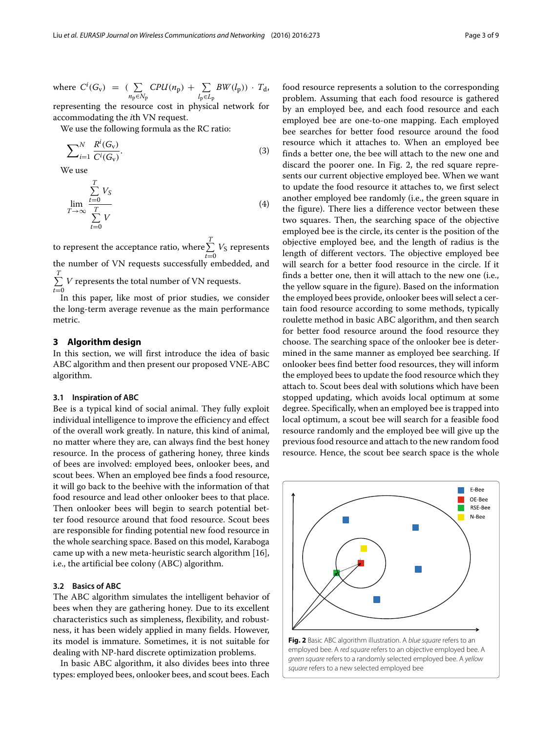where  $C^i(G_v) = (\sum_{v \in V}$  $\sum_{n_p \in N_p} CPU(n_p) + \sum_{l_p \in L}$ *l*p∈*L*<sup>p</sup>  $BW(l_p)$ ) ·  $T_d$ , representing the resource cost in physical network for accommodating the *i*th VN request.

We use the following formula as the RC ratio:

$$
\sum_{i=1}^{N} \frac{R^i(G_v)}{C^i(G_v)}.
$$
\n
$$
(3)
$$

We use

$$
\lim_{T \to \infty} \frac{\sum_{t=0}^{T} V_S}{\sum_{t=0}^{T} V} \tag{4}
$$

to represent the acceptance ratio, where  $\sum\limits_{}^{T}$ *t*=0  $V<sub>S</sub>$  represents the number of VN requests successfully embedded, and  $\sum_{i=1}^{T} V$  represents the total number of VN requests.  $t=0$ 

In this paper, like most of prior studies, we consider the long-term average revenue as the main performance metric.

#### <span id="page-2-0"></span>**3 Algorithm design**

In this section, we will first introduce the idea of basic ABC algorithm and then present our proposed VNE-ABC algorithm.

#### **3.1 Inspiration of ABC**

Bee is a typical kind of social animal. They fully exploit individual intelligence to improve the efficiency and effect of the overall work greatly. In nature, this kind of animal, no matter where they are, can always find the best honey resource. In the process of gathering honey, three kinds of bees are involved: employed bees, onlooker bees, and scout bees. When an employed bee finds a food resource, it will go back to the beehive with the information of that food resource and lead other onlooker bees to that place. Then onlooker bees will begin to search potential better food resource around that food resource. Scout bees are responsible for finding potential new food resource in the whole searching space. Based on this model, Karaboga came up with a new meta-heuristic search algorithm [\[16\]](#page-8-7), i.e., the artificial bee colony (ABC) algorithm.

#### **3.2 Basics of ABC**

The ABC algorithm simulates the intelligent behavior of bees when they are gathering honey. Due to its excellent characteristics such as simpleness, flexibility, and robustness, it has been widely applied in many fields. However, its model is immature. Sometimes, it is not suitable for dealing with NP-hard discrete optimization problems.

In basic ABC algorithm, it also divides bees into three types: employed bees, onlooker bees, and scout bees. Each food resource represents a solution to the corresponding problem. Assuming that each food resource is gathered by an employed bee, and each food resource and each employed bee are one-to-one mapping. Each employed bee searches for better food resource around the food resource which it attaches to. When an employed bee finds a better one, the bee will attach to the new one and discard the poorer one. In Fig. [2,](#page-2-1) the red square represents our current objective employed bee. When we want to update the food resource it attaches to, we first select another employed bee randomly (i.e., the green square in the figure). There lies a difference vector between these two squares. Then, the searching space of the objective employed bee is the circle, its center is the position of the objective employed bee, and the length of radius is the length of different vectors. The objective employed bee will search for a better food resource in the circle. If it finds a better one, then it will attach to the new one (i.e., the yellow square in the figure). Based on the information the employed bees provide, onlooker bees will select a certain food resource according to some methods, typically roulette method in basic ABC algorithm, and then search for better food resource around the food resource they choose. The searching space of the onlooker bee is determined in the same manner as employed bee searching. If onlooker bees find better food resources, they will inform the employed bees to update the food resource which they attach to. Scout bees deal with solutions which have been stopped updating, which avoids local optimum at some degree. Specifically, when an employed bee is trapped into local optimum, a scout bee will search for a feasible food resource randomly and the employed bee will give up the previous food resource and attach to the new random food resource. Hence, the scout bee search space is the whole



<span id="page-2-1"></span>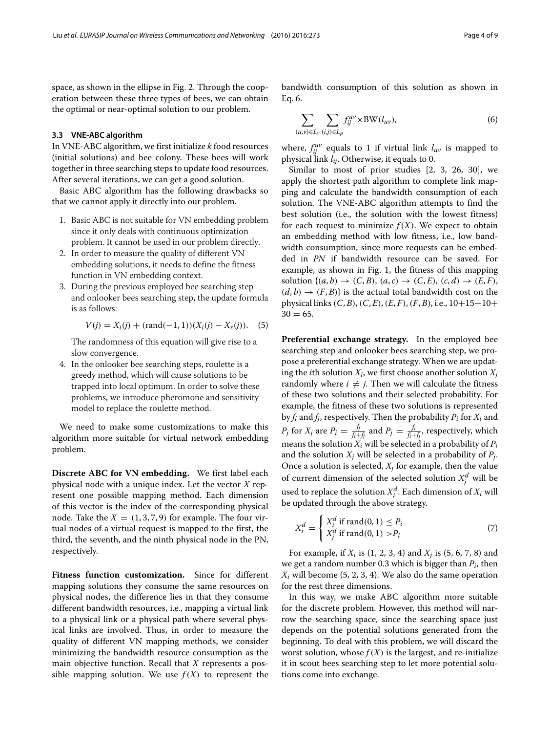space, as shown in the ellipse in Fig. [2.](#page-2-1) Through the cooperation between these three types of bees, we can obtain the optimal or near-optimal solution to our problem.

#### **3.3 VNE-ABC algorithm**

In VNE-ABC algorithm, we first initialize *k* food resources (initial solutions) and bee colony. These bees will work together in three searching steps to update food resources. After several iterations, we can get a good solution.

Basic ABC algorithm has the following drawbacks so that we cannot apply it directly into our problem.

- 1. Basic ABC is not suitable for VN embedding problem since it only deals with continuous optimization problem. It cannot be used in our problem directly.
- 2. In order to measure the quality of different VN embedding solutions, it needs to define the fitness function in VN embedding context.
- 3. During the previous employed bee searching step and onlooker bees searching step, the update formula is as follows:

<span id="page-3-2"></span>
$$
V(j) = X_i(j) + (rand(-1, 1))(X_i(j) - X_r(j)).
$$
 (5)

The randomness of this equation will give rise to a slow convergence.

4. In the onlooker bee searching steps, roulette is a greedy method, which will cause solutions to be trapped into local optimum. In order to solve these problems, we introduce pheromone and sensitivity model to replace the roulette method.

We need to make some customizations to make this algorithm more suitable for virtual network embedding problem.

**Discrete ABC for VN embedding.** We first label each physical node with a unique index. Let the vector *X* represent one possible mapping method. Each dimension of this vector is the index of the corresponding physical node. Take the  $X = (1, 3, 7, 9)$  for example. The four virtual nodes of a virtual request is mapped to the first, the third, the seventh, and the ninth physical node in the PN, respectively.

**Fitness function customization.** Since for different mapping solutions they consume the same resources on physical nodes, the difference lies in that they consume different bandwidth resources, i.e., mapping a virtual link to a physical link or a physical path where several physical links are involved. Thus, in order to measure the quality of different VN mapping methods, we consider minimizing the bandwidth resource consumption as the main objective function. Recall that *X* represents a possible mapping solution. We use  $f(X)$  to represent the

bandwidth consumption of this solution as shown in Eq. [6.](#page-3-0)

<span id="page-3-0"></span>
$$
\sum_{(u,v)\in L_v} \sum_{(i,j)\in L_p} f_{ij}^{uv} \times \text{BW}(l_{uv}),\tag{6}
$$

where,  $f_{ij}^{\mu\nu}$  equals to 1 if virtual link  $l_{\mu\nu}$  is mapped to physical link *lij*. Otherwise, it equals to 0.

Similar to most of prior studies [\[2,](#page-7-0) [3,](#page-7-1) [26,](#page-8-3) [30\]](#page-8-6), we apply the shortest path algorithm to complete link mapping and calculate the bandwidth consumption of each solution. The VNE-ABC algorithm attempts to find the best solution (i.e., the solution with the lowest fitness) for each request to minimize  $f(X)$ . We expect to obtain an embedding method with low fitness, i.e., low bandwidth consumption, since more requests can be embedded in *PN* if bandwidth resource can be saved. For example, as shown in Fig. [1,](#page-1-1) the fitness of this mapping solution  $\{(a, b) \rightarrow (C, B), (a, c) \rightarrow (C, E), (c, d) \rightarrow (E, F),\}$  $(d, b) \rightarrow (F, B)$  is the actual total bandwidth cost on the physical links(*C*, *B*),(*C*, *E*),(*E*, *F*),(*F*, *B*), i.e., 10+15+10+  $30 = 65.$ 

**Preferential exchange strategy.** In the employed bee searching step and onlooker bees searching step, we propose a preferential exchange strategy. When we are updating the *i*th solution  $X_i$ , we first choose another solution  $X_i$ randomly where  $i \neq j$ . Then we will calculate the fitness of these two solutions and their selected probability. For example, the fitness of these two solutions is represented by *fi* and *fj*, respectively. Then the probability *Pi* for *Xi* and *P<sub>j</sub>* for *X<sub>j</sub>* are  $P_i = \frac{f_j}{f_i + f_j}$  and  $P_j = \frac{f_i}{f_i + f_j}$ , respectively, which means the solution *Xi* will be selected in a probability of *Pi* and the solution  $X_j$  will be selected in a probability of  $P_j$ . Once a solution is selected,  $X_i$  for example, then the value of current dimension of the selected solution  $X_j^d$  will be used to replace the solution  $X_i^d$ . Each dimension of  $X_i$  will be updated through the above strategy.

<span id="page-3-1"></span>
$$
X_i^d = \begin{cases} X_i^d \text{ if } \text{rand}(0,1) \le P_i \\ X_j^d \text{ if } \text{rand}(0,1) > P_i \end{cases} \tag{7}
$$

For example, if *Xi* is (1, 2, 3, 4) and *Xj* is (5, 6, 7, 8) and we get a random number 0.3 which is bigger than *Pi*, then  $X_i$  will become  $(5, 2, 3, 4)$ . We also do the same operation for the rest three dimensions.

In this way, we make ABC algorithm more suitable for the discrete problem. However, this method will narrow the searching space, since the searching space just depends on the potential solutions generated from the beginning. To deal with this problem, we will discard the worst solution, whose  $f(X)$  is the largest, and re-initialize it in scout bees searching step to let more potential solutions come into exchange.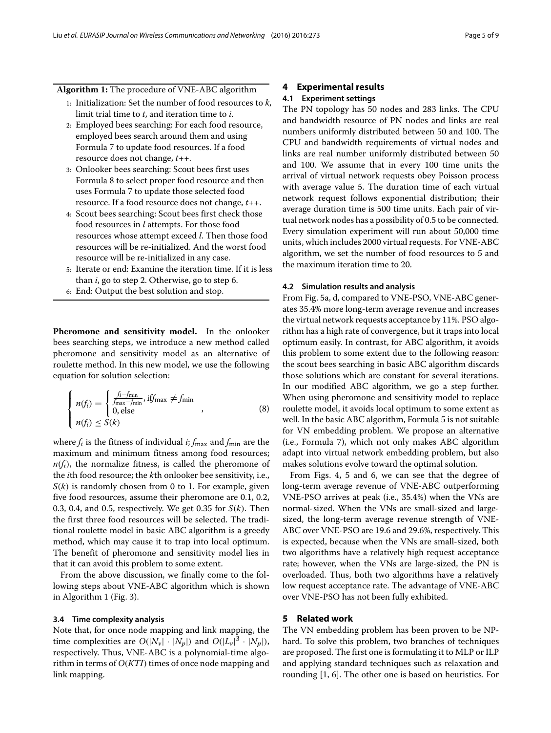#### **Algorithm 1:** The procedure of VNE-ABC algorithm

- 1: Initialization: Set the number of food resources to *k*, limit trial time to *t*, and iteration time to *i*.
- 2: Employed bees searching: For each food resource, employed bees search around them and using Formula [7](#page-3-1) to update food resources. If a food resource does not change, *t*++.
- 3: Onlooker bees searching: Scout bees first uses Formula [8](#page-4-2) to select proper food resource and then uses Formula [7](#page-3-1) to update those selected food resource. If a food resource does not change, *t*++.
- 4: Scout bees searching: Scout bees first check those food resources in *l* attempts. For those food resources whose attempt exceed *l*. Then those food resources will be re-initialized. And the worst food resource will be re-initialized in any case.
- 5: Iterate or end: Examine the iteration time. If it is less than *i*, go to step 2. Otherwise, go to step 6.
- 6: End: Output the best solution and stop.

**Pheromone and sensitivity model.** In the onlooker bees searching steps, we introduce a new method called pheromone and sensitivity model as an alternative of roulette method. In this new model, we use the following equation for solution selection:

<span id="page-4-2"></span>
$$
\begin{cases}\nn(f_i) = \begin{cases}\n\frac{f_i - f_{\min}}{f_{\max} - f_{\min}}, & \text{if } f_{\max} \neq f_{\min} \\
0, & \text{else}\n\end{cases}, \\
n(f_i) \leq S(k)\n\end{cases} \tag{8}
$$

where  $f_i$  is the fitness of individual  $i$ ;  $f_{\text{max}}$  and  $f_{\text{min}}$  are the maximum and minimum fitness among food resources;  $n(f_i)$ , the normalize fitness, is called the pheromone of the *i*th food resource; the *k*th onlooker bee sensitivity, i.e., *S*(*k*) is randomly chosen from 0 to 1. For example, given five food resources, assume their pheromone are 0.1, 0.2, 0.3, 0.4, and 0.5, respectively. We get 0.35 for  $S(k)$ . Then the first three food resources will be selected. The traditional roulette model in basic ABC algorithm is a greedy method, which may cause it to trap into local optimum. The benefit of pheromone and sensitivity model lies in that it can avoid this problem to some extent.

From the above discussion, we finally come to the following steps about VNE-ABC algorithm which is shown in Algorithm 1 (Fig. [3\)](#page-5-0).

#### **3.4 Time complexity analysis**

Note that, for once node mapping and link mapping, the time complexities are  $O(|N_v| \cdot |N_p|)$  and  $O(|L_v|^3 \cdot |N_p|)$ , respectively. Thus, VNE-ABC is a polynomial-time algorithm in terms of *O*(*KTI*) times of once node mapping and link mapping.

#### <span id="page-4-0"></span>**4 Experimental results**

#### **4.1 Experiment settings**

The PN topology has 50 nodes and 283 links. The CPU and bandwidth resource of PN nodes and links are real numbers uniformly distributed between 50 and 100. The CPU and bandwidth requirements of virtual nodes and links are real number uniformly distributed between 50 and 100. We assume that in every 100 time units the arrival of virtual network requests obey Poisson process with average value 5. The duration time of each virtual network request follows exponential distribution; their average duration time is 500 time units. Each pair of virtual network nodes has a possibility of 0.5 to be connected. Every simulation experiment will run about 50,000 time units, which includes 2000 virtual requests. For VNE-ABC algorithm, we set the number of food resources to 5 and the maximum iteration time to 20.

#### **4.2 Simulation results and analysis**

From Fig. [5](#page-6-0)[a, d,](#page-6-1) compared to VNE-PSO, VNE-ABC generates 35.4% more long-term average revenue and increases the virtual network requests acceptance by 11%. PSO algorithm has a high rate of convergence, but it traps into local optimum easily. In contrast, for ABC algorithm, it avoids this problem to some extent due to the following reason: the scout bees searching in basic ABC algorithm discards those solutions which are constant for several iterations. In our modified ABC algorithm, we go a step further. When using pheromone and sensitivity model to replace roulette model, it avoids local optimum to some extent as well. In the basic ABC algorithm, Formula [5](#page-3-2) is not suitable for VN embedding problem. We propose an alternative (i.e., Formula [7\)](#page-3-1), which not only makes ABC algorithm adapt into virtual network embedding problem, but also makes solutions evolve toward the optimal solution.

From Figs. [4,](#page-6-2) [5](#page-6-0) and [6,](#page-7-5) we can see that the degree of long-term average revenue of VNE-ABC outperforming VNE-PSO arrives at peak (i.e., 35.4%) when the VNs are normal-sized. When the VNs are small-sized and largesized, the long-term average revenue strength of VNE-ABC over VNE-PSO are 19.6 and 29.6%, respectively. This is expected, because when the VNs are small-sized, both two algorithms have a relatively high request acceptance rate; however, when the VNs are large-sized, the PN is overloaded. Thus, both two algorithms have a relatively low request acceptance rate. The advantage of VNE-ABC over VNE-PSO has not been fully exhibited.

#### <span id="page-4-1"></span>**5 Related work**

The VN embedding problem has been proven to be NPhard. To solve this problem, two branches of techniques are proposed. The first one is formulating it to MLP or ILP and applying standard techniques such as relaxation and rounding [\[1,](#page-7-6) [6\]](#page-7-7). The other one is based on heuristics. For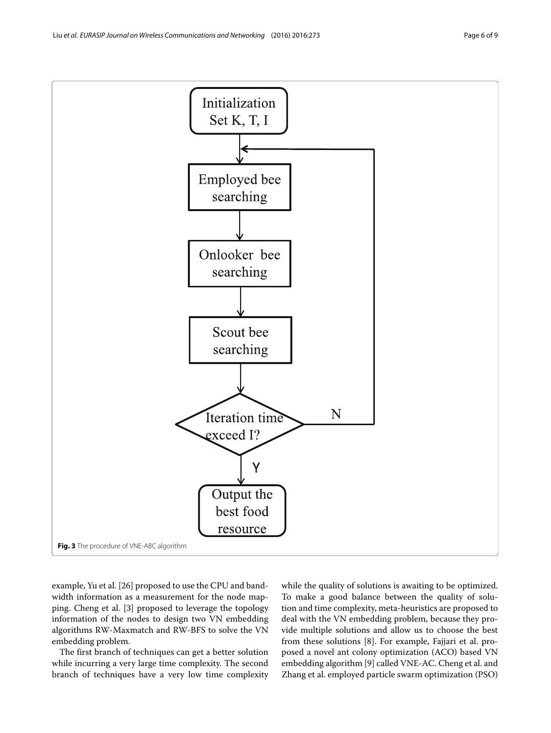

<span id="page-5-0"></span>example, Yu et al. [\[26\]](#page-8-3) proposed to use the CPU and bandwidth information as a measurement for the node mapping. Cheng et al. [\[3\]](#page-7-1) proposed to leverage the topology information of the nodes to design two VN embedding algorithms RW-Maxmatch and RW-BFS to solve the VN embedding problem.

The first branch of techniques can get a better solution while incurring a very large time complexity. The second branch of techniques have a very low time complexity while the quality of solutions is awaiting to be optimized. To make a good balance between the quality of solution and time complexity, meta-heuristics are proposed to deal with the VN embedding problem, because they provide multiple solutions and allow us to choose the best from these solutions [\[8\]](#page-7-8). For example, Fajjari et al. proposed a novel ant colony optimization (ACO) based VN embedding algorithm [\[9\]](#page-7-9) called VNE-AC. Cheng et al. and Zhang et al. employed particle swarm optimization (PSO)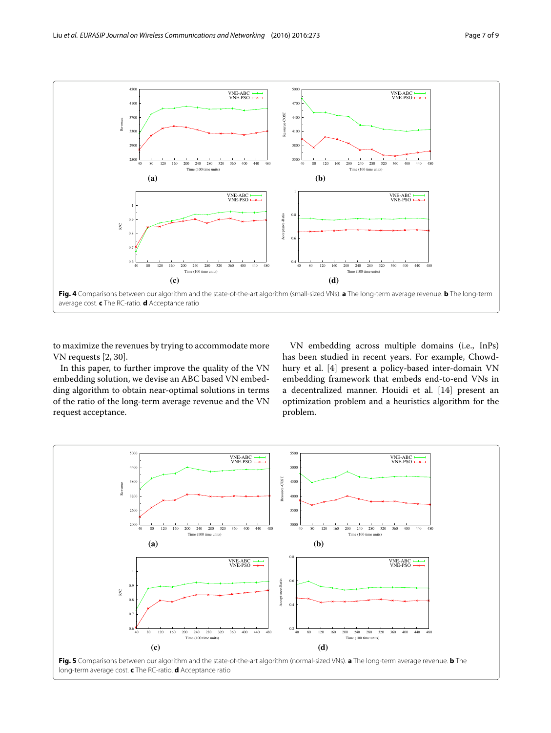

<span id="page-6-2"></span>to maximize the revenues by trying to accommodate more VN requests [\[2,](#page-7-0) [30\]](#page-8-6).

In this paper, to further improve the quality of the VN embedding solution, we devise an ABC based VN embedding algorithm to obtain near-optimal solutions in terms of the ratio of the long-term average revenue and the VN request acceptance.

VN embedding across multiple domains (i.e., InPs) has been studied in recent years. For example, Chowdhury et al. [\[4\]](#page-7-10) present a policy-based inter-domain VN embedding framework that embeds end-to-end VNs in a decentralized manner. Houidi et al. [\[14\]](#page-8-8) present an optimization problem and a heuristics algorithm for the problem.

<span id="page-6-1"></span><span id="page-6-0"></span>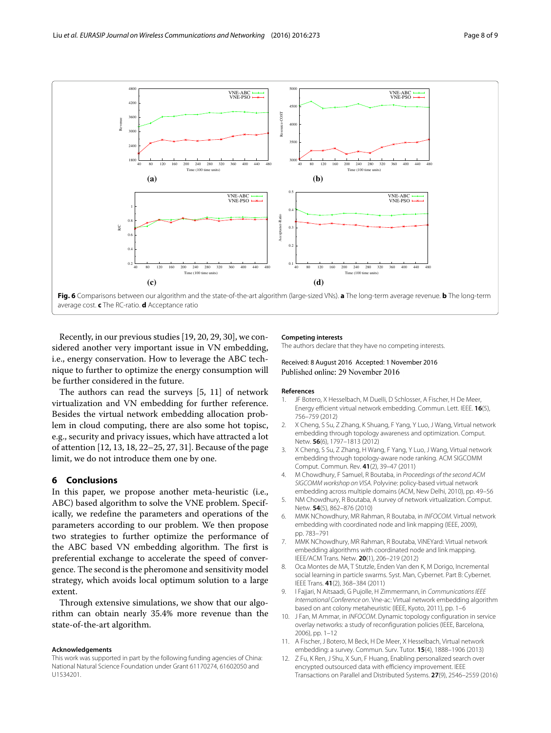

<span id="page-7-5"></span>Recently, in our previous studies [\[19,](#page-8-9) [20,](#page-8-10) [29,](#page-8-11) [30\]](#page-8-6), we considered another very important issue in VN embedding, i.e., energy conservation. How to leverage the ABC technique to further to optimize the energy consumption will be further considered in the future.

The authors can read the surveys [\[5,](#page-7-11) [11\]](#page-7-12) of network virtualization and VN embedding for further reference. Besides the virtual network embedding allocation problem in cloud computing, there are also some hot topisc, e.g., security and privacy issues, which have attracted a lot of attention [\[12,](#page-7-13) [13,](#page-8-12) [18,](#page-8-13) [22–](#page-8-14)[25,](#page-8-15) [27,](#page-8-16) [31\]](#page-8-17). Because of the page limit, we do not introduce them one by one.

#### <span id="page-7-4"></span>**6 Conclusions**

In this paper, we propose another meta-heuristic (i.e., ABC) based algorithm to solve the VNE problem. Specifically, we redefine the parameters and operations of the parameters according to our problem. We then propose two strategies to further optimize the performance of the ABC based VN embedding algorithm. The first is preferential exchange to accelerate the speed of convergence. The second is the pheromone and sensitivity model strategy, which avoids local optimum solution to a large extent.

Through extensive simulations, we show that our algorithm can obtain nearly 35.4% more revenue than the state-of-the-art algorithm.

#### **Acknowledgements**

This work was supported in part by the following funding agencies of China: National Natural Science Foundation under Grant 61170274, 61602050 and U1534201.

#### **Competing interests**

The authors declare that they have no competing interests.

Received: 8 August 2016 Accepted: 1 November 2016 Published online: 29 November 2016

#### **References**

- <span id="page-7-6"></span>JF Botero, X Hesselbach, M Duelli, D Schlosser, A Fischer, H De Meer, Energy efficient virtual network embedding. Commun. Lett. IEEE. **16**(5), 756–759 (2012)
- <span id="page-7-0"></span>2. X Cheng, S Su, Z Zhang, K Shuang, F Yang, Y Luo, J Wang, Virtual network embedding through topology awareness and optimization. Comput. Netw. **56**(6), 1797–1813 (2012)
- <span id="page-7-1"></span>3. X Cheng, S Su, Z Zhang, H Wang, F Yang, Y Luo, J Wang, Virtual network embedding through topology-aware node ranking. ACM SIGCOMM Comput. Commun. Rev. **41**(2), 39–47 (2011)
- <span id="page-7-10"></span>4. M Chowdhury, F Samuel, R Boutaba, in Proceedings of the second ACM SIGCOMM workshop on VISA. Polyvine: policy-based virtual network embedding across multiple domains (ACM, New Delhi, 2010), pp. 49–56
- <span id="page-7-11"></span>5. NM Chowdhury, R Boutaba, A survey of network virtualization. Comput. Netw. **54**(5), 862–876 (2010)
- <span id="page-7-7"></span>6. MMK NChowdhury, MR Rahman, R Boutaba, in INFOCOM. Virtual network embedding with coordinated node and link mapping (IEEE, 2009), pp. 783–791
- <span id="page-7-3"></span>7. MMK NChowdhury, MR Rahman, R Boutaba, ViNEYard: Virtual network embedding algorithms with coordinated node and link mapping. IEEE/ACM Trans. Netw. **20**(1), 206–219 (2012)
- <span id="page-7-8"></span>8. Oca Montes de MA, T Stutzle, Enden Van den K, M Dorigo, Incremental social learning in particle swarms. Syst. Man, Cybernet. Part B: Cybernet. IEEE Trans. **41**(2), 368–384 (2011)
- <span id="page-7-9"></span>9. I Fajjari, N Aitsaadi, G Pujolle, H Zimmermann, in Communications IEEE International Conference on. Vne-ac: Virtual network embedding algorithm based on ant colony metaheuristic (IEEE, Kyoto, 2011), pp. 1–6
- <span id="page-7-2"></span>10. J Fan, M Ammar, in INFOCOM. Dynamic topology configuration in service overlay networks: a study of reconfiguration policies (IEEE, Barcelona, 2006), pp. 1–12
- <span id="page-7-12"></span>11. A Fischer, J Botero, M Beck, H De Meer, X Hesselbach, Virtual network embedding: a survey. Commun. Surv. Tutor. **15**(4), 1888–1906 (2013)
- <span id="page-7-13"></span>12. Z Fu, K Ren, J Shu, X Sun, F Huang, Enabling personalized search over encrypted outsourced data with efficiency improvement. IEEE Transactions on Parallel and Distributed Systems. **27**(9), 2546–2559 (2016)